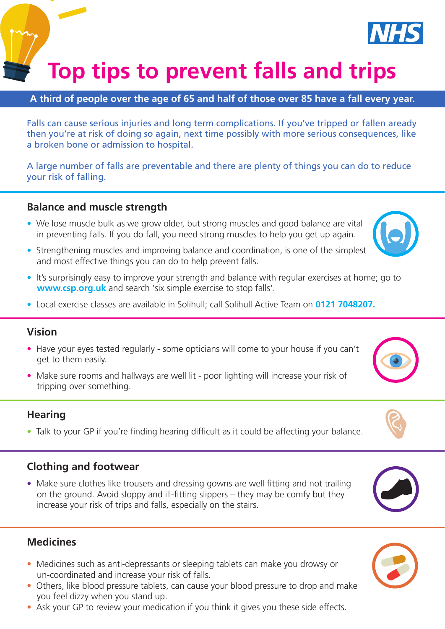**Top tips to prevent falls and trips Birmingham and Solihulli Soli IIs and trips** 

### **A third of people over the age of 65 and half of those over 85 have a fall every year.**

Falls can cause serious injuries and long term complications. If you've tripped or fallen aready then you're at risk of doing so again, next time possibly with more serious consequences, like a broken bone or admission to hospital.

A large number of falls are preventable and there are plenty of things you can do to reduce your risk of falling.

### **Balance and muscle strength**

- We lose muscle bulk as we grow older, but strong muscles and good balance are vital in preventing falls. If you do fall, you need strong muscles to help you get up again.
- Strengthening muscles and improving balance and coordination, is one of the simplest and most effective things you can do to help prevent falls.
- It's surprisingly easy to improve your strength and balance with regular exercises at home; go to **www.csp.org.uk** and search 'six simple exercise to stop falls'.
- Local exercise classes are available in Solihull; call Solihull Active Team on **0121 7048207.**

#### **Vision**

- Have your eyes tested regularly some opticians will come to your house if you can't get to them easily.
- Make sure rooms and hallways are well lit poor lighting will increase your risk of tripping over something.

#### **Hearing**

• Talk to your GP if you're finding hearing difficult as it could be affecting your balance.

#### **Clothing and footwear**

• Make sure clothes like trousers and dressing gowns are well fitting and not trailing on the ground. Avoid sloppy and ill-fitting slippers – they may be comfy but they increase your risk of trips and falls, especially on the stairs.

#### **Medicines**

- Medicines such as anti-depressants or sleeping tablets can make you drowsy or un-coordinated and increase your risk of falls.
- Others, like blood pressure tablets, can cause your blood pressure to drop and make you feel dizzy when you stand up.
- Ask your GP to review your medication if you think it gives you these side effects.